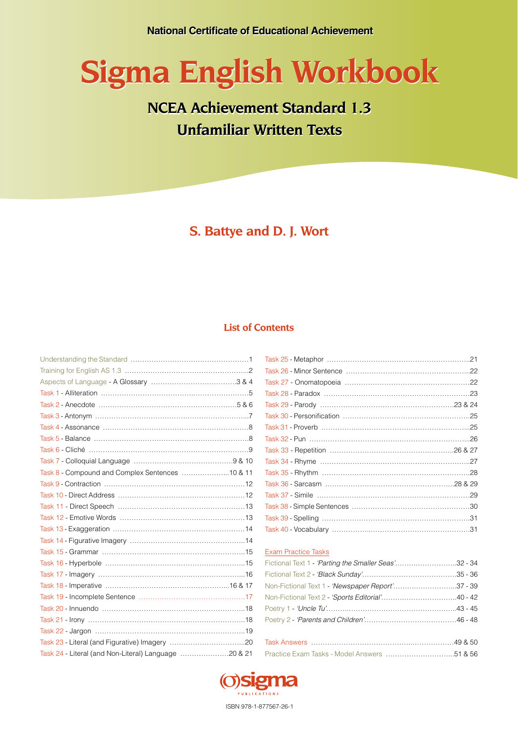# **Sigma English Workbook Sigma English Workbook**

## **NCEA Achievement Standard 1.3 NCEA Achievement Standard 1.3 Unfamiliar Written Texts Unfamiliar Written Texts**

**S. Battye and D. J. Wort**

#### **List of Contents**

| Task 8 - Compound and Complex Sentences  10 & 11     |  |
|------------------------------------------------------|--|
|                                                      |  |
|                                                      |  |
|                                                      |  |
|                                                      |  |
|                                                      |  |
|                                                      |  |
|                                                      |  |
|                                                      |  |
|                                                      |  |
|                                                      |  |
|                                                      |  |
|                                                      |  |
|                                                      |  |
|                                                      |  |
|                                                      |  |
| Task 24 - Literal (and Non-Literal) Language 20 & 21 |  |

#### Exam Practice Tasks

| Fictional Text 1 - 'Parting the Smaller Seas'32 - 34 |  |
|------------------------------------------------------|--|
|                                                      |  |
| Non-Fictional Text 1 - 'Newspaper Report'37 - 39     |  |
|                                                      |  |
|                                                      |  |
|                                                      |  |
|                                                      |  |
|                                                      |  |
|                                                      |  |



ISBN 978-1-877567-26-1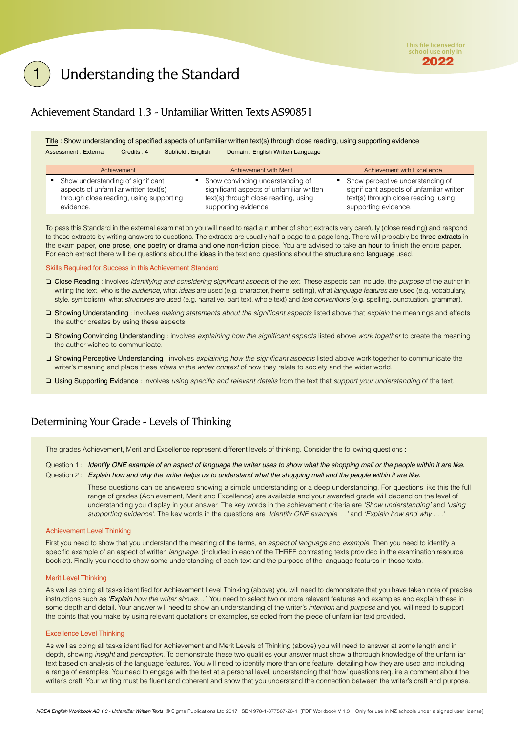### <span id="page-1-0"></span>Understanding the Standard

#### Achievement Standard 1.3 - Unfamiliar Written Texts AS90851

Title : Show understanding of specified aspects of unfamiliar written text(s) through close reading, using supporting evidence Assessment : External Credits : 4 Subfield : English Domain : English Written Language

| Achievement                             | Achievement with Merit                    | Achievement with Excellence               |
|-----------------------------------------|-------------------------------------------|-------------------------------------------|
| Show understanding of significant       | Show convincing understanding of          | Show perceptive understanding of          |
| aspects of unfamiliar written text(s)   | significant aspects of unfamiliar written | significant aspects of unfamiliar written |
| through close reading, using supporting | text(s) through close reading, using      | text(s) through close reading, using      |
| evidence.                               | supporting evidence.                      | supporting evidence.                      |

To pass this Standard in the external examination you will need to read a number of short extracts very carefully (close reading) and respond to these extracts by writing answers to questions. The extracts are usually half a page to a page long. There will probably be three extracts in the exam paper, one prose, one poetry or drama and one non-fiction piece. You are advised to take an hour to finish the entire paper. For each extract there will be questions about the ideas in the text and questions about the structure and language used.

Skills Required for Success in this Achievement Standard

- ❏ Close Reading : involves *identifying and considering significant aspects* of the text. These aspects can include, the *purpose* of the author in writing the text, who is the *audience*, what *ideas* are used (e.g. character, theme, setting), what *language features* are used (e.g. vocabulary, style, symbolism), what *structures* are used (e.g. narrative, part text, whole text) and *text conventions* (e.g. spelling, punctuation, grammar).
- ❏ Showing Understanding : involves *making statements about the significant aspects* listed above that *explain* the meanings and effects the author creates by using these aspects.
- ❏ Showing Convincing Understanding : involves *explaining how the significant aspects* listed above *work together* to create the meaning the author wishes to communicate.
- ❏ Showing Perceptive Understanding : involves *explaining how the significant aspects* listed above work together to communicate the writer's meaning and place these *ideas in the wider context* of how they relate to society and the wider world.
- ❏ Using Supporting Evidence : involves *using specific and relevant details* from the text that *support your understanding* of the text.

#### Determining Your Grade - Levels of Thinking

The grades Achievement, Merit and Excellence represent different levels of thinking. Consider the following questions :

Question 1: *Identify ONE example of an aspect of language the writer uses to show what the shopping mall or the people within it are like.* 

Question 2 : *Explain how and why the writer helps us to understand what the shopping mall and the people within it are like.*

These questions can be answered showing a simple understanding or a deep understanding. For questions like this the full range of grades (Achievement, Merit and Excellence) are available and your awarded grade will depend on the level of understanding you display in your answer. The key words in the achievement criteria are *'Show understanding'* and *'using supporting evidence'*. The key words in the questions are *'Identify ONE example. . .'* and *'Explain how and why . . .'*

#### Achievement Level Thinking

First you need to show that you understand the meaning of the terms, an *aspect of language* and *example*. Then you need to identify a specific example of an aspect of written *language*. (included in each of the THREE contrasting texts provided in the examination resource booklet). Finally you need to show some understanding of each text and the purpose of the language features in those texts.

#### Merit Level Thinking

As well as doing all tasks identified for Achievement Level Thinking (above) you will need to demonstrate that you have taken note of precise instructions such as *'Explain how the writer shows…'* You need to select two or more relevant features and examples and explain these in some depth and detail. Your answer will need to show an understanding of the writer's *intention* and *purpose* and you will need to support the points that you make by using relevant quotations or examples, selected from the piece of unfamiliar text provided.

#### Excellence Level Thinking

As well as doing all tasks identified for Achievement and Merit Levels of Thinking (above) you will need to answer at some length and in depth, showing *insight* and *perception*. To demonstrate these two qualities your answer must show a thorough knowledge of the unfamiliar text based on analysis of the language features. You will need to identify more than one feature, detailing how they are used and including a range of examples. You need to engage with the text at a personal level, understanding that 'how' questions require a comment about the writer's craft. Your writing must be fluent and coherent and show that you understand the connection between the writer's craft and purpose.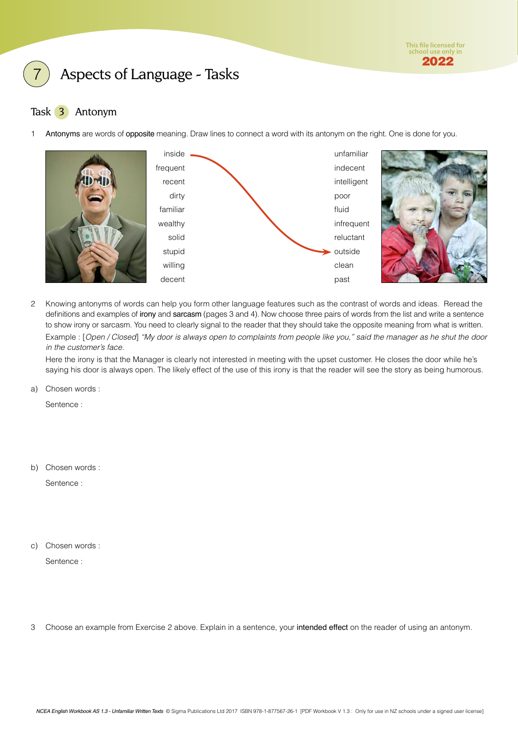

#### <span id="page-2-0"></span>Task 3 Antonym

1 Antonyms are words of opposite meaning. Draw lines to connect a word with its antonym on the right. One is done for you.



2 Knowing antonyms of words can help you form other language features such as the contrast of words and ideas. Reread the definitions and examples of irony and sarcasm (pages 3 and 4). Now choose three pairs of words from the list and write a sentence to show irony or sarcasm. You need to clearly signal to the reader that they should take the opposite meaning from what is written. Example : [*Open / Closed*] *"My door is always open to complaints from people like you," said the manager as he shut the door in the customer's face.*

Here the irony is that the Manager is clearly not interested in meeting with the upset customer. He closes the door while he's saying his door is always open. The likely effect of the use of this irony is that the reader will see the story as being humorous.

a) Chosen words :

Sentence :

b) Chosen words :

Sentence :

c) Chosen words :

Sentence :

3 Choose an example from Exercise 2 above. Explain in a sentence, your intended effect on the reader of using an antonym.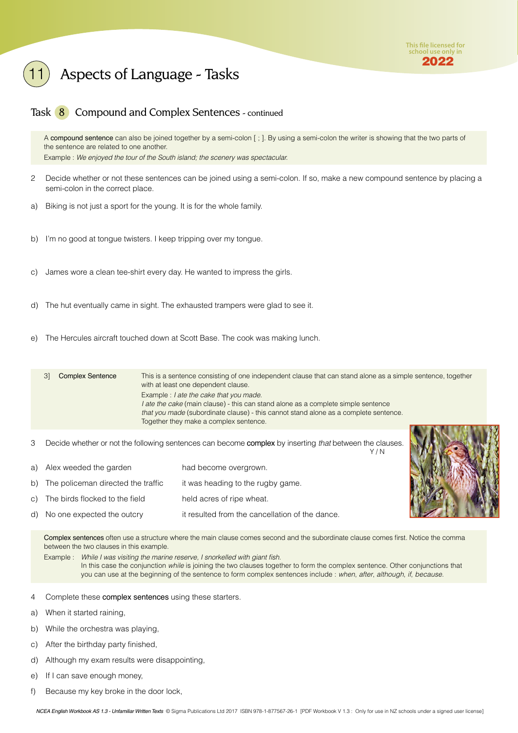

#### Task 8 Compound and Complex Sentences - continued

A compound sentence can also be joined together by a semi-colon [ ; ]. By using a semi-colon the writer is showing that the two parts of the sentence are related to one another. Example : *We enjoyed the tour of the South island; the scenery was spectacular.*

- 2 Decide whether or not these sentences can be joined using a semi-colon. If so, make a new compound sentence by placing a semi-colon in the correct place.
- a) Biking is not just a sport for the young. It is for the whole family.
- b) I'm no good at tongue twisters. I keep tripping over my tongue.
- c) James wore a clean tee-shirt every day. He wanted to impress the girls.
- d) The hut eventually came in sight. The exhausted trampers were glad to see it.
- e) The Hercules aircraft touched down at Scott Base. The cook was making lunch.

3] Complex Sentence This is a sentence consisting of one independent clause that can stand alone as a simple sentence, together with at least one dependent clause. Example : *I ate the cake that you made*. *I ate the cake* (main clause) - this can stand alone as a complete simple sentence *that you made* (subordinate clause) - this cannot stand alone as a complete sentence. Together they make a complex sentence.

3 Decide whether or not the following sentences can become complex by inserting *that* between the clauses.

| a) Alex weeded the garden             | had become overgrown.                           |
|---------------------------------------|-------------------------------------------------|
| b) The policeman directed the traffic | it was heading to the rugby game.               |
| c) The birds flocked to the field     | held acres of ripe wheat.                       |
| d) No one expected the outcry         | it resulted from the cancellation of the dance. |



Y / N

Complex sentences often use a structure where the main clause comes second and the subordinate clause comes first. Notice the comma between the two clauses in this example.

Example : *While I was visiting the marine reserve, I snorkelled with giant fish.* In this case the conjunction *while* is joining the two clauses together to form the complex sentence. Other conjunctions that you can use at the beginning of the sentence to form complex sentences include : *when*, *after*, *although*, *if*, *because*.

- 4 Complete these complex sentences using these starters.
- a) When it started raining,
- b) While the orchestra was playing,
- c) After the birthday party finished,
- d) Although my exam results were disappointing,
- e) If I can save enough money,
- f) Because my key broke in the door lock,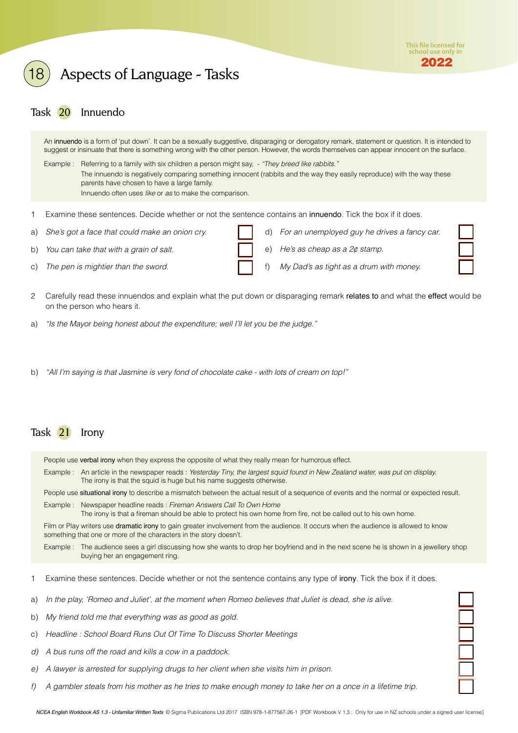

#### <span id="page-4-0"></span>Task 20 Innuendo

An innuendo is a form of 'put down'. It can be a sexually suggestive, disparaging or derogatory remark, statement or question. It is intended to suggest or insinuate that there is something wrong with the other person. However, the words themselves can appear innocent on the surface.

Example : Referring to a family with six children a person might say, - *"They breed like rabbits."* The innuendo is negatively comparing something innocent (rabbits and the way they easily reproduce) with the way these parents have chosen to have a large family. Innuendo often uses *like* or *as* to make the comparison.

- 1 Examine these sentences. Decide whether or not the sentence contains an innuendo. Tick the box if it does.
- a) *She's got a face that could make an onion cry.*
- b) *You can take that with a grain of salt.*
- c) *The pen is mightier than the sword.*
- d) *For an unemployed guy he drives a fancy car.*
- e) *He's as cheap as a 2¢ stamp.*
- f) *My Dad's as tight as a drum with money.*
- 2 Carefully read these innuendos and explain what the put down or disparaging remark relates to and what the effect would be on the person who hears it.
- a) *"Is the Mayor being honest about the expenditure; well I'll let you be the judge."*
- b) *"All I'm saying is that Jasmine is very fond of chocolate cake with lots of cream on top!"*

#### Task 21 Irony

People use verbal irony when they express the opposite of what they really mean for humorous effect.

Example : An article in the newspaper reads : *Yesterday Tiny, the largest squid found in New Zealand water, was put on display.* The irony is that the squid is huge but his name suggests otherwise.

People use situational irony to describe a mismatch between the actual result of a sequence of events and the normal or expected result.

Example : Newspaper headline reads : *Fireman Answers Call To Own Home* The irony is that a fireman should be able to protect his own home from fire, not be called out to his own home.

Film or Play writers use dramatic irony to gain greater involvement from the audience. It occurs when the audience is allowed to know something that one or more of the characters in the story doesn't.

Example : The audience sees a girl discussing how she wants to drop her boyfriend and in the next scene he is shown in a jewellery shop buying her an engagement ring.

- 1 Examine these sentences. Decide whether or not the sentence contains any type of irony. Tick the box if it does.
- a) *In the play, 'Romeo and Juliet', at the moment when Romeo believes that Juliet is dead, she is alive.*
- b) *My friend told me that everything was as good as gold.*
- c) *Headline : School Board Runs Out Of Time To Discuss Shorter Meetings*
- *d) A bus runs off the road and kills a cow in a paddock.*
- *e) A lawyer is arrested for supplying drugs to her client when she visits him in prison.*
- *f) A gambler steals from his mother as he tries to make enough money to take her on a once in a lifetime trip.*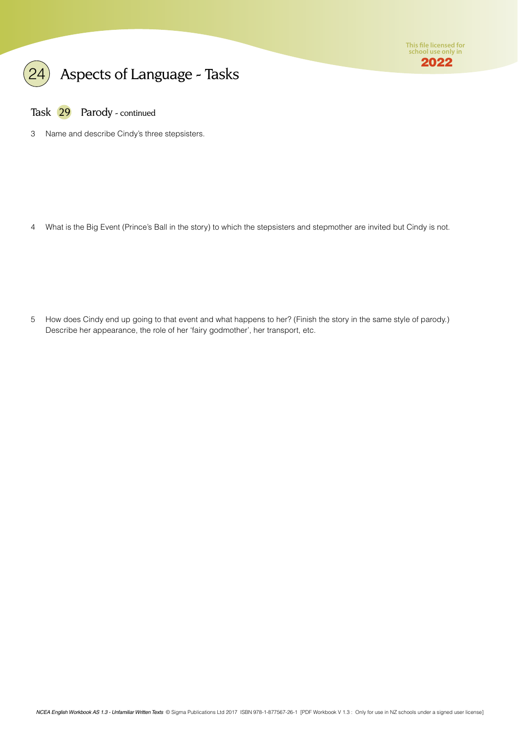

Task 29 Parody - continued

3 Name and describe Cindy's three stepsisters.

4 What is the Big Event (Prince's Ball in the story) to which the stepsisters and stepmother are invited but Cindy is not.

5 How does Cindy end up going to that event and what happens to her? (Finish the story in the same style of parody.) Describe her appearance, the role of her 'fairy godmother', her transport, etc.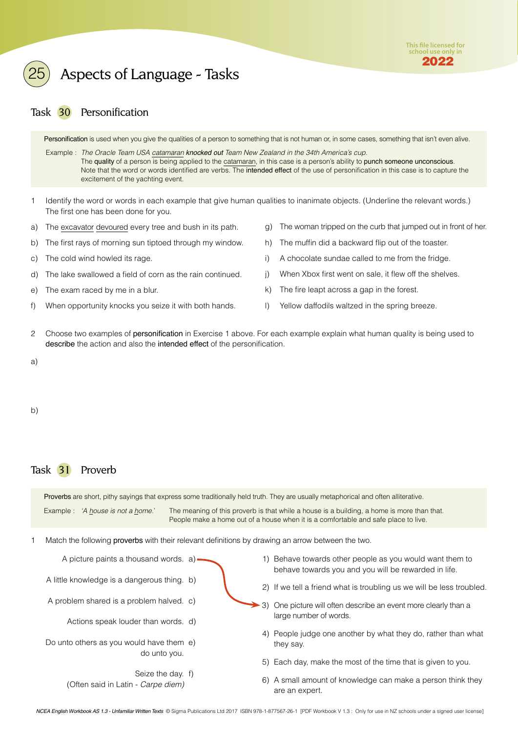

#### <span id="page-6-0"></span>Task 30 Personification

Personification is used when you give the qualities of a person to something that is not human or, in some cases, something that isn't even alive.

 Example : *The Oracle Team USA catamaran knocked out Team New Zealand in the 34th America's cup.* The quality of a person is being applied to the catamaran, in this case is a person's ability to punch someone unconscious. Note that the word or words identified are verbs. The intended effect of the use of personification in this case is to capture the excitement of the yachting event.

- 1 Identify the word or words in each example that give human qualities to inanimate objects. (Underline the relevant words.) The first one has been done for you.
- a) The excavator devoured every tree and bush in its path.
- b) The first rays of morning sun tiptoed through my window.
- c) The cold wind howled its rage.
- d) The lake swallowed a field of corn as the rain continued.
- e) The exam raced by me in a blur.
- f) When opportunity knocks you seize it with both hands.
- g) The woman tripped on the curb that jumped out in front of her.
- h) The muffin did a backward flip out of the toaster.
- i) A chocolate sundae called to me from the fridge.
- j) When Xbox first went on sale, it flew off the shelves.
- k) The fire leapt across a gap in the forest.
- l) Yellow daffodils waltzed in the spring breeze.
- 2 Choose two examples of personification in Exercise 1 above. For each example explain what human quality is being used to describe the action and also the intended effect of the personification.
- a)

b)

#### Task 31 Proverb

Proverbs are short, pithy sayings that express some traditionally held truth. They are usually metaphorical and often alliterative.

Example : *'A house is not a home.*' The meaning of this proverb is that while a house is a building, a home is more than that. People make a home out of a house when it is a comfortable and safe place to live.

1 Match the following proverbs with their relevant definitions by drawing an arrow between the two.

A little knowledge is a dangerous thing. b)

A picture paints a thousand words.

- A problem shared is a problem halved.
	- Actions speak louder than words. d)
- Do unto others as you would have them e) do unto you.
	- Seize the day. f) (Often said in Latin - *Carpe diem)* f)  $(6)$
- 1) Behave towards other people as you would want them to behave towards you and you will be rewarded in life. a)  $\sim$  1)
	- 2) If we tell a friend what is troubling us we will be less troubled.
- c) 3) One picture will often describe an event more clearly than a large number of words.
	- 4) People judge one another by what they do, rather than what they say.
	- Each day, make the most of the time that is given to you. 5)
	- A small amount of knowledge can make a person think they are an expert.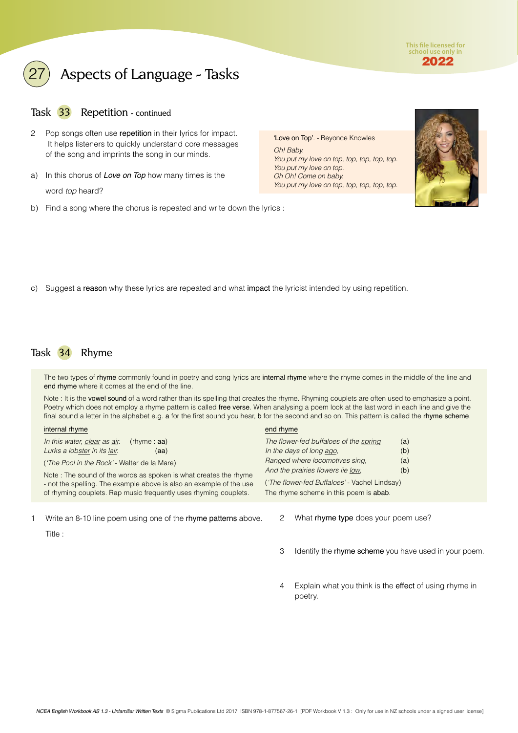**This file licensed for school use only in** 2022

### <span id="page-7-0"></span>Aspects of Language - Tasks

#### Task 33 Repetition - continued

- 2 Pop songs often use repetition in their lyrics for impact. It helps listeners to quickly understand core messages of the song and imprints the song in our minds.
- a) In this chorus of *Love on Top* how many times is the word *top* heard?
- b) Find a song where the chorus is repeated and write down the lyrics :

'Love on Top'. - Beyonce Knowles *Oh! Baby. You put my love on top, top, top, top, top. You put my love on top. Oh Oh! Come on baby. You put my love on top, top, top, top, top.*



c) Suggest a reason why these lyrics are repeated and what impact the lyricist intended by using repetition.

#### Task 34 Rhyme

The two types of rhyme commonly found in poetry and song lyrics are internal rhyme where the rhyme comes in the middle of the line and end rhyme where it comes at the end of the line.

Note : It is the vowel sound of a word rather than its spelling that creates the rhyme. Rhyming couplets are often used to emphasize a point. Poetry which does not employ a rhyme pattern is called free verse. When analysing a poem look at the last word in each line and give the final sound a letter in the alphabet e.g. a for the first sound you hear, b for the second and so on. This pattern is called the rhyme scheme.

| internal rhyme                                                                                                                                                                                              | end rhyme                                                                               |  |
|-------------------------------------------------------------------------------------------------------------------------------------------------------------------------------------------------------------|-----------------------------------------------------------------------------------------|--|
| In this water, clear as air.<br>$(rh$ $m e : aa)$<br>Lurks a lobster in its lair.<br>(aa)                                                                                                                   | The flower-fed buffaloes of the spring<br>(a)<br>In the days of long ago,<br>(b)        |  |
| ('The Pool in the Rock' - Walter de la Mare)                                                                                                                                                                | Ranged where locomotives sing.<br>(a)<br>And the prairies flowers lie low.<br>(b)       |  |
| Note: The sound of the words as spoken is what creates the rhyme<br>- not the spelling. The example above is also an example of the use<br>of rhyming couplets. Rap music frequently uses rhyming couplets. | ('The flower-fed Buffaloes' - Vachel Lindsay)<br>The rhyme scheme in this poem is abab. |  |
|                                                                                                                                                                                                             |                                                                                         |  |

1 Write an 8-10 line poem using one of the rhyme patterns above. Title :

- 2 What rhyme type does your poem use?
- 3 Identify the rhyme scheme you have used in your poem.
- 4 Explain what you think is the effect of using rhyme in poetry.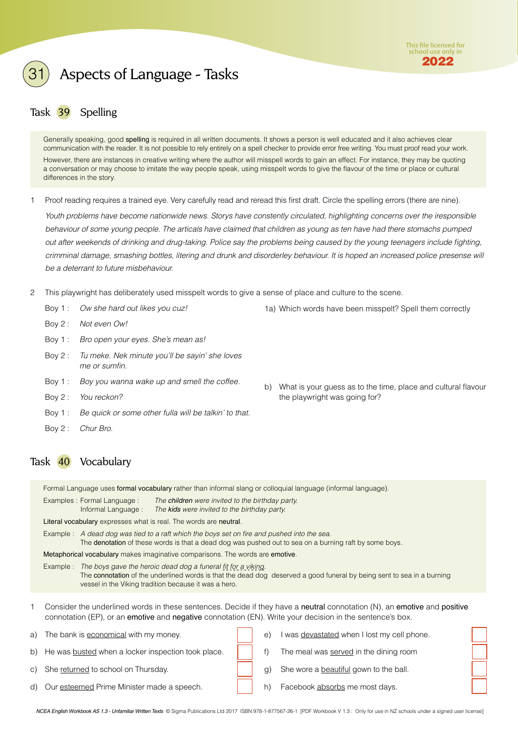

### <span id="page-8-0"></span>Task 39 Spelling

Generally speaking, good spelling is required in all written documents. It shows a person is well educated and it also achieves clear communication with the reader. It is not possible to rely entirely on a spell checker to provide error free writing. You must proof read your work. However, there are instances in creative writing where the author will misspell words to gain an effect. For instance, they may be quoting a conversation or may choose to imitate the way people speak, using misspelt words to give the flavour of the time or place or cultural differences in the story.

1 Proof reading requires a trained eye. Very carefully read and reread this first draft. Circle the spelling errors (there are nine).

*Youth problems have become nationwide news. Storys have constently circulated, highlighting concerns over the iresponsible behaviour of some young people. The articals have claimed that children as young as ten have had there stomachs pumped out after weekends of drinking and drug-taking. Police say the problems being caused by the young teenagers include fighting, crimminal damage, smashing bottles, litering and drunk and disorderley behaviour. It is hoped an increased police presense will be a deterrant to future misbehaviour.*

- 2 This playwright has deliberately used misspelt words to give a sense of place and culture to the scene.
	- Boy 1 : *Ow she hard out likes you cuz!*
	- Boy 2 : *Not even Ow!*
	- Boy 1 : *Bro open your eyes. She's mean as!*
	- Boy 2 : *Tu meke. Nek minute you'll be sayin' she loves me or sumfin.*
	- Boy 1 : *Boy you wanna wake up and smell the coffee.*
	- Boy 2 : *You reckon?*
	- Boy 1 : *Be quick or some other fulla will be talkin' to that.*
	- Boy 2 : *Chur Bro.*

#### Task 40 Vocabulary

Formal Language uses formal vocabulary rather than informal slang or colloquial language (informal language).

| Examples : Formal Language : | The children were invited to the birthday party. |
|------------------------------|--------------------------------------------------|
| Informal Language:           | The kids were invited to the birthday party.     |

Literal vocabulary expresses what is real. The words are neutral.

Example : *A dead dog was tied to a raft which the boys set on fire and pushed into the sea.*

The denotation of these words is that a dead dog was pushed out to sea on a burning raft by some boys.

Metaphorical vocabulary makes imaginative comparisons. The words are emotive.

Example : *The boys gave the heroic dead dog a funeral fit for a viking.* The connotation of the underlined words is that the dead dog deserved a good funeral by being sent to sea in a burning vessel in the Viking tradition because it was a hero.

Consider the underlined words in these sentences. Decide if they have a neutral connotation (N), an emotive and positive connotation (EP), or an emotive and negative connotation (EN). Write your decision in the sentence's box.

| a) The bank is economical with my money.              | $\epsilon$ | I was devastated when I lost my cell phone. |  |
|-------------------------------------------------------|------------|---------------------------------------------|--|
| b) He was busted when a locker inspection took place. |            | The meal was served in the dining room      |  |
| c) She returned to school on Thursday.                |            | g) She wore a beautiful gown to the ball.   |  |
| d) Our esteemed Prime Minister made a speech.         |            | Facebook absorbs me most days.              |  |

*NCEA English Workbook AS 1.3 - Unfamiliar Written Texts* © Sigma Publications Ltd 2017 ISBN 978-1-877567-26-1 [PDF Workbook V 1.3 : Only for use in NZ schools under a signed user license]

1a) Which words have been misspelt? Spell them correctly

b) What is your guess as to the time, place and cultural flavour

the playwright was going for?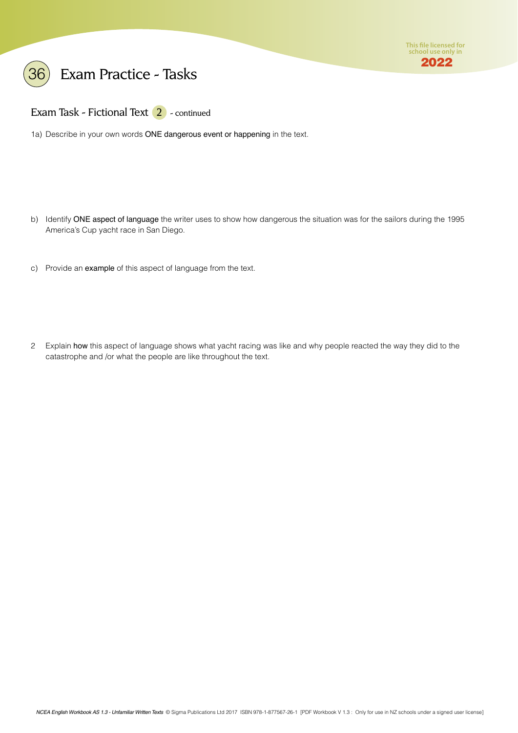



Exam Task - Fictional Text 2 - continued

1a) Describe in your own words ONE dangerous event or happening in the text.

- b) Identify ONE aspect of language the writer uses to show how dangerous the situation was for the sailors during the 1995 America's Cup yacht race in San Diego.
- c) Provide an example of this aspect of language from the text.
- 2 Explain how this aspect of language shows what yacht racing was like and why people reacted the way they did to the catastrophe and /or what the people are like throughout the text.